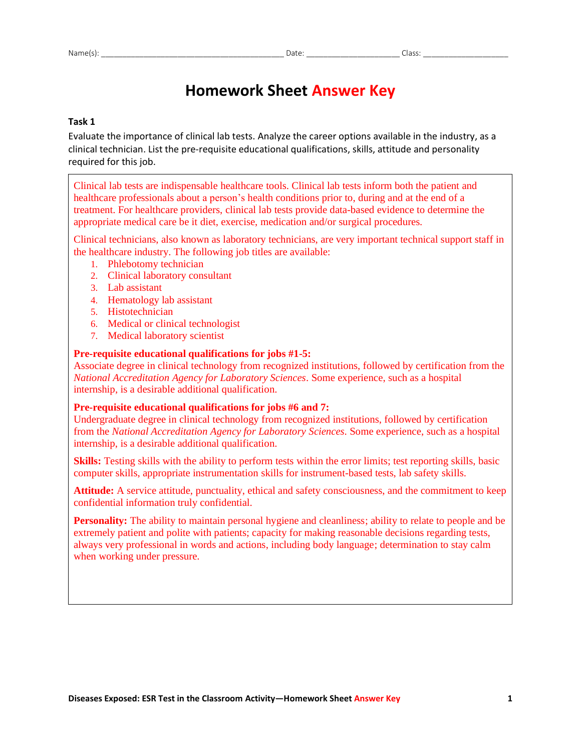# **Homework Sheet Answer Key**

### **Task 1**

Evaluate the importance of clinical lab tests. Analyze the career options available in the industry, as a clinical technician. List the pre-requisite educational qualifications, skills, attitude and personality required for this job.

Clinical lab tests are indispensable healthcare tools. Clinical lab tests inform both the patient and healthcare professionals about a person's health conditions prior to, during and at the end of a treatment. For healthcare providers, clinical lab tests provide data-based evidence to determine the appropriate medical care be it diet, exercise, medication and/or surgical procedures.

Clinical technicians, also known as laboratory technicians, are very important technical support staff in the healthcare industry. The following job titles are available:

- 1. Phlebotomy technician
- 2. Clinical laboratory consultant
- 3. Lab assistant
- 4. Hematology lab assistant
- 5. Histotechnician
- 6. Medical or clinical technologist
- 7. Medical laboratory scientist

#### **Pre-requisite educational qualifications for jobs #1-5:**

Associate degree in clinical technology from recognized institutions, followed by certification from the *National Accreditation Agency for Laboratory Sciences*. Some experience, such as a hospital internship, is a desirable additional qualification.

#### **Pre-requisite educational qualifications for jobs #6 and 7:**

Undergraduate degree in clinical technology from recognized institutions, followed by certification from the *National Accreditation Agency for Laboratory Sciences*. Some experience, such as a hospital internship, is a desirable additional qualification.

**Skills:** Testing skills with the ability to perform tests within the error limits; test reporting skills, basic computer skills, appropriate instrumentation skills for instrument-based tests, lab safety skills.

**Attitude:** A service attitude, punctuality, ethical and safety consciousness, and the commitment to keep confidential information truly confidential.

**Personality:** The ability to maintain personal hygiene and cleanliness; ability to relate to people and be extremely patient and polite with patients; capacity for making reasonable decisions regarding tests, always very professional in words and actions, including body language; determination to stay calm when working under pressure.